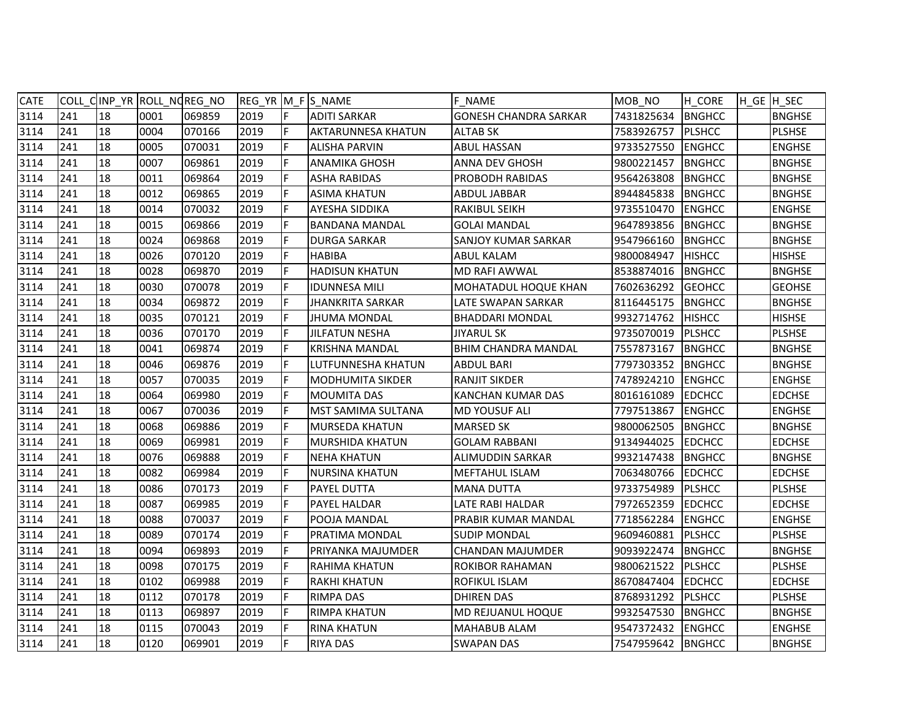| <b>CATE</b> |     |    |      | COLL CINP_YR ROLL_NOREG_NO | REG YR M FS NAME |    |                           | F NAME                       | MOB NO            | H CORE         | H GE H SEC    |
|-------------|-----|----|------|----------------------------|------------------|----|---------------------------|------------------------------|-------------------|----------------|---------------|
| 3114        | 241 | 18 | 0001 | 069859                     | 2019             | E  | <b>ADITI SARKAR</b>       | <b>GONESH CHANDRA SARKAR</b> | 7431825634        | <b>BNGHCC</b>  | <b>BNGHSE</b> |
| 3114        | 241 | 18 | 0004 | 070166                     | 2019             |    | <b>AKTARUNNESA KHATUN</b> | <b>ALTAB SK</b>              | 7583926757        | <b>PLSHCC</b>  | <b>PLSHSE</b> |
| 3114        | 241 | 18 | 0005 | 070031                     | 2019             |    | <b>ALISHA PARVIN</b>      | <b>ABUL HASSAN</b>           | 9733527550        | <b>ENGHCC</b>  | <b>ENGHSE</b> |
| 3114        | 241 | 18 | 0007 | 069861                     | 2019             |    | ANAMIKA GHOSH             | ANNA DEV GHOSH               | 9800221457        | <b>BNGHCC</b>  | <b>BNGHSE</b> |
| 3114        | 241 | 18 | 0011 | 069864                     | 2019             | F. | ASHA RABIDAS              | PROBODH RABIDAS              | 9564263808        | <b>BNGHCC</b>  | <b>BNGHSE</b> |
| 3114        | 241 | 18 | 0012 | 069865                     | 2019             |    | <b>ASIMA KHATUN</b>       | ABDUL JABBAR                 | 8944845838        | <b>BNGHCC</b>  | <b>BNGHSE</b> |
| 3114        | 241 | 18 | 0014 | 070032                     | 2019             |    | <b>AYESHA SIDDIKA</b>     | <b>RAKIBUL SEIKH</b>         | 9735510470        | <b>ENGHCC</b>  | <b>ENGHSE</b> |
| 3114        | 241 | 18 | 0015 | 069866                     | 2019             |    | <b>BANDANA MANDAL</b>     | <b>GOLAI MANDAL</b>          | 9647893856        | <b>BNGHCC</b>  | <b>BNGHSE</b> |
| 3114        | 241 | 18 | 0024 | 069868                     | 2019             |    | <b>DURGA SARKAR</b>       | SANJOY KUMAR SARKAR          | 9547966160        | <b>BNGHCC</b>  | <b>BNGHSE</b> |
| 3114        | 241 | 18 | 0026 | 070120                     | 2019             |    | HABIBA                    | ABUL KALAM                   | 9800084947        | <b>HISHCC</b>  | <b>HISHSE</b> |
| 3114        | 241 | 18 | 0028 | 069870                     | 2019             |    | <b>HADISUN KHATUN</b>     | <b>MD RAFI AWWAL</b>         | 8538874016        | BNGHCC         | <b>BNGHSE</b> |
| 3114        | 241 | 18 | 0030 | 070078                     | 2019             |    | <b>IDUNNESA MILI</b>      | MOHATADUL HOQUE KHAN         | 7602636292        | <b>GEOHCC</b>  | <b>GEOHSE</b> |
| 3114        | 241 | 18 | 0034 | 069872                     | 2019             |    | JHANKRITA SARKAR          | LATE SWAPAN SARKAR           | 8116445175        | <b>BNGHCC</b>  | <b>BNGHSE</b> |
| 3114        | 241 | 18 | 0035 | 070121                     | 2019             |    | JHUMA MONDAL              | <b>BHADDARI MONDAL</b>       | 9932714762        | <b>HISHCC</b>  | <b>HISHSE</b> |
| 3114        | 241 | 18 | 0036 | 070170                     | 2019             |    | <b>JILFATUN NESHA</b>     | JIYARUL SK                   | 9735070019        | <b>PLSHCC</b>  | <b>PLSHSE</b> |
| 3114        | 241 | 18 | 0041 | 069874                     | 2019             |    | KRISHNA MANDAL            | BHIM CHANDRA MANDAL          | 7557873167        | <b>BNGHCC</b>  | <b>BNGHSE</b> |
| 3114        | 241 | 18 | 0046 | 069876                     | 2019             |    | LUTFUNNESHA KHATUN        | ABDUL BARI                   | 7797303352        | <b>BNGHCC</b>  | <b>BNGHSE</b> |
| 3114        | 241 | 18 | 0057 | 070035                     | 2019             |    | <b>MODHUMITA SIKDER</b>   | RANJIT SIKDER                | 7478924210        | <b>ENGHCC</b>  | <b>ENGHSE</b> |
| 3114        | 241 | 18 | 0064 | 069980                     | 2019             |    | IMOUMITA DAS              | KANCHAN KUMAR DAS            | 8016161089        | <b>EDCHCC</b>  | <b>EDCHSE</b> |
| 3114        | 241 | 18 | 0067 | 070036                     | 2019             | F  | MST SAMIMA SULTANA        | <b>MD YOUSUF ALI</b>         | 7797513867        | <b>IENGHCC</b> | <b>ENGHSE</b> |
| 3114        | 241 | 18 | 0068 | 069886                     | 2019             | F  | <b>MURSEDA KHATUN</b>     | <b>MARSED SK</b>             | 9800062505        | <b>BNGHCC</b>  | <b>BNGHSE</b> |
| 3114        | 241 | 18 | 0069 | 069981                     | 2019             | F  | <b>MURSHIDA KHATUN</b>    | <b>GOLAM RABBANI</b>         | 9134944025        | <b>EDCHCC</b>  | <b>EDCHSE</b> |
| 3114        | 241 | 18 | 0076 | 069888                     | 2019             |    | NEHA KHATUN               | ALIMUDDIN SARKAR             | 9932147438        | <b>BNGHCC</b>  | <b>BNGHSE</b> |
| 3114        | 241 | 18 | 0082 | 069984                     | 2019             |    | <b>NURSINA KHATUN</b>     | MEFTAHUL ISLAM               | 7063480766        | <b>EDCHCC</b>  | <b>EDCHSE</b> |
| 3114        | 241 | 18 | 0086 | 070173                     | 2019             |    | <b>PAYEL DUTTA</b>        | MANA DUTTA                   | 9733754989        | <b>PLSHCC</b>  | <b>PLSHSE</b> |
| 3114        | 241 | 18 | 0087 | 069985                     | 2019             |    | <b>PAYEL HALDAR</b>       | LATE RABI HALDAR             | 7972652359        | <b>IEDCHCC</b> | <b>EDCHSE</b> |
| 3114        | 241 | 18 | 0088 | 070037                     | 2019             |    | POOJA MANDAL              | PRABIR KUMAR MANDAL          | 7718562284        | <b>ENGHCC</b>  | <b>ENGHSE</b> |
| 3114        | 241 | 18 | 0089 | 070174                     | 2019             |    | PRATIMA MONDAL            | SUDIP MONDAL                 | 9609460881        | <b>PLSHCC</b>  | <b>PLSHSE</b> |
| 3114        | 241 | 18 | 0094 | 069893                     | 2019             |    | PRIYANKA MAJUMDER         | CHANDAN MAJUMDER             | 9093922474        | <b>BNGHCC</b>  | <b>BNGHSE</b> |
| 3114        | 241 | 18 | 0098 | 070175                     | 2019             |    | RAHIMA KHATUN             | <b>ROKIBOR RAHAMAN</b>       | 9800621522        | <b>PLSHCC</b>  | <b>PLSHSE</b> |
| 3114        | 241 | 18 | 0102 | 069988                     | 2019             |    | <b>RAKHI KHATUN</b>       | ROFIKUL ISLAM                | 8670847404        | <b>EDCHCC</b>  | <b>EDCHSE</b> |
| 3114        | 241 | 18 | 0112 | 070178                     | 2019             |    | <b>RIMPA DAS</b>          | <b>DHIREN DAS</b>            | 8768931292        | PLSHCC         | <b>PLSHSE</b> |
| 3114        | 241 | 18 | 0113 | 069897                     | 2019             |    | <b>RIMPA KHATUN</b>       | MD REJUANUL HOQUE            | 9932547530        | <b>BNGHCC</b>  | <b>BNGHSE</b> |
| 3114        | 241 | 18 | 0115 | 070043                     | 2019             |    | <b>RINA KHATUN</b>        | MAHABUB ALAM                 | 9547372432        | <b>ENGHCC</b>  | <b>ENGHSE</b> |
| 3114        | 241 | 18 | 0120 | 069901                     | 2019             |    | <b>RIYA DAS</b>           | <b>SWAPAN DAS</b>            | 7547959642 BNGHCC |                | <b>BNGHSE</b> |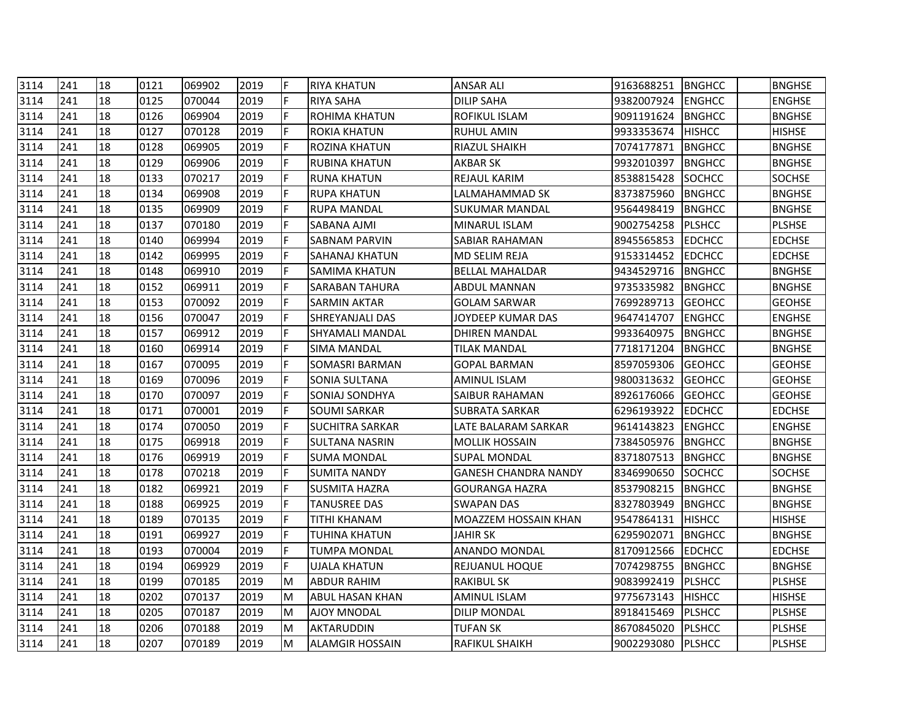| 3114 | 1241 | 18 | 0121 | 069902 | 2019 | IF | <b>RIYA KHATUN</b>     | <b>ANSAR ALI</b>            | 9163688251 BNGHCC |                | <b>BNGHSE</b> |
|------|------|----|------|--------|------|----|------------------------|-----------------------------|-------------------|----------------|---------------|
| 3114 | 241  | 18 | 0125 | 070044 | 2019 |    | <b>RIYA SAHA</b>       | <b>DILIP SAHA</b>           | 9382007924        | <b>IENGHCC</b> | <b>ENGHSE</b> |
| 3114 | 241  | 18 | 0126 | 069904 | 2019 |    | <b>ROHIMA KHATUN</b>   | <b>ROFIKUL ISLAM</b>        | 9091191624        | <b>BNGHCC</b>  | <b>BNGHSE</b> |
| 3114 | 241  | 18 | 0127 | 070128 | 2019 |    | <b>ROKIA KHATUN</b>    | <b>RUHUL AMIN</b>           | 9933353674        | <b>HISHCC</b>  | <b>HISHSE</b> |
| 3114 | 241  | 18 | 0128 | 069905 | 2019 |    | ROZINA KHATUN          | RIAZUL SHAIKH               | 7074177871        | <b>BNGHCC</b>  | <b>BNGHSE</b> |
| 3114 | 241  | 18 | 0129 | 069906 | 2019 | F. | RUBINA KHATUN          | <b>AKBAR SK</b>             | 9932010397        | <b>BNGHCC</b>  | <b>BNGHSE</b> |
| 3114 | 241  | 18 | 0133 | 070217 | 2019 |    | RUNA KHATUN            | REJAUL KARIM                | 8538815428        | <b>SOCHCC</b>  | <b>SOCHSE</b> |
| 3114 | 241  | 18 | 0134 | 069908 | 2019 |    | RUPA KHATUN            | LALMAHAMMAD SK              | 8373875960        | <b>BNGHCC</b>  | <b>BNGHSE</b> |
| 3114 | 241  | 18 | 0135 | 069909 | 2019 |    | RUPA MANDAL            | SUKUMAR MANDAL              | 9564498419        | <b>BNGHCC</b>  | <b>BNGHSE</b> |
| 3114 | 241  | 18 | 0137 | 070180 | 2019 |    | SABANA AJMI            | MINARUL ISLAM               | 9002754258        | <b>PLSHCC</b>  | <b>PLSHSE</b> |
| 3114 | 241  | 18 | 0140 | 069994 | 2019 |    | SABNAM PARVIN          | SABIAR RAHAMAN              | 8945565853        | <b>EDCHCC</b>  | <b>EDCHSE</b> |
| 3114 | 241  | 18 | 0142 | 069995 | 2019 |    | SAHANAJ KHATUN         | <b>MD SELIM REJA</b>        | 9153314452        | <b>EDCHCC</b>  | <b>EDCHSE</b> |
| 3114 | 241  | 18 | 0148 | 069910 | 2019 |    | SAMIMA KHATUN          | <b>BELLAL MAHALDAR</b>      | 9434529716        | <b>BNGHCC</b>  | <b>BNGHSE</b> |
| 3114 | 241  | 18 | 0152 | 069911 | 2019 |    | SARABAN TAHURA         | ABDUL MANNAN                | 9735335982        | <b>BNGHCC</b>  | <b>BNGHSE</b> |
| 3114 | 241  | 18 | 0153 | 070092 | 2019 |    | SARMIN AKTAR           | <b>GOLAM SARWAR</b>         | 7699289713        | <b>GEOHCC</b>  | <b>GEOHSE</b> |
| 3114 | 241  | 18 | 0156 | 070047 | 2019 |    | SHREYANJALI DAS        | JOYDEEP KUMAR DAS           | 9647414707        | <b>ENGHCC</b>  | <b>ENGHSE</b> |
| 3114 | 241  | 18 | 0157 | 069912 | 2019 |    | SHYAMALI MANDAL        | <b>DHIREN MANDAL</b>        | 9933640975        | <b>BNGHCC</b>  | <b>BNGHSE</b> |
| 3114 | 241  | 18 | 0160 | 069914 | 2019 |    | <b>SIMA MANDAL</b>     | <b>TILAK MANDAL</b>         | 7718171204        | <b>BNGHCC</b>  | <b>BNGHSE</b> |
| 3114 | 241  | 18 | 0167 | 070095 | 2019 |    | <b>SOMASRI BARMAN</b>  | <b>GOPAL BARMAN</b>         | 8597059306        | <b>GEOHCC</b>  | <b>GEOHSE</b> |
| 3114 | 241  | 18 | 0169 | 070096 | 2019 |    | SONIA SULTANA          | AMINUL ISLAM                | 9800313632        | <b>GEOHCC</b>  | <b>GEOHSE</b> |
| 3114 | 241  | 18 | 0170 | 070097 | 2019 | E  | SONIAJ SONDHYA         | SAIBUR RAHAMAN              | 8926176066        | <b>GEOHCC</b>  | <b>GEOHSE</b> |
| 3114 | 241  | 18 | 0171 | 070001 | 2019 | F. | <b>SOUMI SARKAR</b>    | <b>SUBRATA SARKAR</b>       | 6296193922        | <b>EDCHCC</b>  | <b>EDCHSE</b> |
| 3114 | 241  | 18 | 0174 | 070050 | 2019 | F. | <b>SUCHITRA SARKAR</b> | LATE BALARAM SARKAR         | 9614143823        | <b>ENGHCC</b>  | <b>ENGHSE</b> |
| 3114 | 241  | 18 | 0175 | 069918 | 2019 | F  | <b>SULTANA NASRIN</b>  | <b>MOLLIK HOSSAIN</b>       | 7384505976        | <b>BNGHCC</b>  | <b>BNGHSE</b> |
| 3114 | 241  | 18 | 0176 | 069919 | 2019 |    | <b>SUMA MONDAL</b>     | <b>SUPAL MONDAL</b>         | 8371807513        | <b>BNGHCC</b>  | <b>BNGHSE</b> |
| 3114 | 241  | 18 | 0178 | 070218 | 2019 | E. | <b>SUMITA NANDY</b>    | <b>GANESH CHANDRA NANDY</b> | 8346990650        | SOCHCC         | <b>SOCHSE</b> |
| 3114 | 241  | 18 | 0182 | 069921 | 2019 |    | SUSMITA HAZRA          | <b>GOURANGA HAZRA</b>       | 8537908215        | <b>BNGHCC</b>  | <b>BNGHSE</b> |
| 3114 | 241  | 18 | 0188 | 069925 | 2019 | F. | TANUSREE DAS           | <b>SWAPAN DAS</b>           | 8327803949        | <b>BNGHCC</b>  | <b>BNGHSE</b> |
| 3114 | 241  | 18 | 0189 | 070135 | 2019 | F. | TITHI KHANAM           | MOAZZEM HOSSAIN KHAN        | 9547864131        | <b>HISHCC</b>  | <b>HISHSE</b> |
| 3114 | 241  | 18 | 0191 | 069927 | 2019 |    | TUHINA KHATUN          | JAHIR SK                    | 6295902071        | <b>BNGHCC</b>  | <b>BNGHSE</b> |
| 3114 | 241  | 18 | 0193 | 070004 | 2019 |    | TUMPA MONDAL           | <b>ANANDO MONDAL</b>        | 8170912566        | <b>EDCHCC</b>  | <b>EDCHSE</b> |
| 3114 | 241  | 18 | 0194 | 069929 | 2019 |    | UJALA KHATUN           | REJUANUL HOQUE              | 7074298755        | <b>BNGHCC</b>  | <b>BNGHSE</b> |
| 3114 | 241  | 18 | 0199 | 070185 | 2019 | M  | <b>ABDUR RAHIM</b>     | <b>RAKIBUL SK</b>           | 9083992419        | <b>PLSHCC</b>  | <b>PLSHSE</b> |
| 3114 | 241  | 18 | 0202 | 070137 | 2019 | M  | ABUL HASAN KHAN        | AMINUL ISLAM                | 9775673143        | <b>HISHCC</b>  | <b>HISHSE</b> |
| 3114 | 241  | 18 | 0205 | 070187 | 2019 | M  | AJOY MNODAL            | DILIP MONDAL                | 8918415469        | <b>PLSHCC</b>  | <b>PLSHSE</b> |
| 3114 | 241  | 18 | 0206 | 070188 | 2019 | M  | AKTARUDDIN             | TUFAN SK                    | 8670845020        | <b>PLSHCC</b>  | <b>PLSHSE</b> |
| 3114 | 241  | 18 | 0207 | 070189 | 2019 | M  | <b>ALAMGIR HOSSAIN</b> | <b>RAFIKUL SHAIKH</b>       | 9002293080 PLSHCC |                | <b>PLSHSE</b> |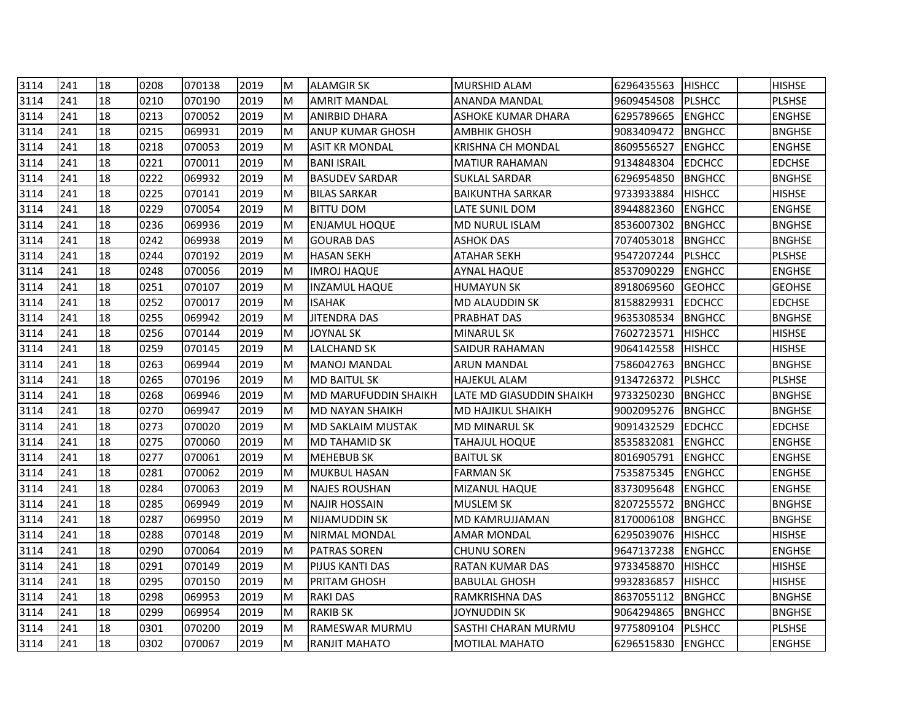| 3114 | 241 | 18 | 0208 | 070138 | 2019 | ΙM | <b>ALAMGIR SK</b>        | <b>MURSHID ALAM</b>       | 6296435563 HISHCC |                | <b>HISHSE</b> |
|------|-----|----|------|--------|------|----|--------------------------|---------------------------|-------------------|----------------|---------------|
| 3114 | 241 | 18 | 0210 | 070190 | 2019 | M  | <b>AMRIT MANDAL</b>      | ANANDA MANDAL             | 9609454508        | <b>PLSHCC</b>  | <b>PLSHSE</b> |
| 3114 | 241 | 18 | 0213 | 070052 | 2019 | M  | <b>ANIRBID DHARA</b>     | <b>ASHOKE KUMAR DHARA</b> | 6295789665        | <b>ENGHCC</b>  | <b>ENGHSE</b> |
| 3114 | 241 | 18 | 0215 | 069931 | 2019 | M  | ANUP KUMAR GHOSH         | <b>AMBHIK GHOSH</b>       | 9083409472        | <b>BNGHCC</b>  | <b>BNGHSE</b> |
| 3114 | 241 | 18 | 0218 | 070053 | 2019 | M  | <b>ASIT KR MONDAL</b>    | <b>KRISHNA CH MONDAL</b>  | 8609556527        | <b>ENGHCC</b>  | <b>ENGHSE</b> |
| 3114 | 241 | 18 | 0221 | 070011 | 2019 | M  | <b>BANI ISRAIL</b>       | MATIUR RAHAMAN            | 9134848304        | <b>EDCHCC</b>  | <b>EDCHSE</b> |
| 3114 | 241 | 18 | 0222 | 069932 | 2019 | M  | <b>BASUDEV SARDAR</b>    | <b>SUKLAL SARDAR</b>      | 6296954850        | <b>BNGHCC</b>  | <b>BNGHSE</b> |
| 3114 | 241 | 18 | 0225 | 070141 | 2019 | M  | BILAS SARKAR             | <b>BAIKUNTHA SARKAR</b>   | 9733933884        | <b>HISHCC</b>  | <b>HISHSE</b> |
| 3114 | 241 | 18 | 0229 | 070054 | 2019 | M  | BITTU DOM                | LATE SUNIL DOM            | 8944882360        | <b>ENGHCC</b>  | <b>ENGHSE</b> |
| 3114 | 241 | 18 | 0236 | 069936 | 2019 | M  | <b>ENJAMUL HOQUE</b>     | MD NURUL ISLAM            | 8536007302        | <b>BNGHCC</b>  | <b>BNGHSE</b> |
| 3114 | 241 | 18 | 0242 | 069938 | 2019 | M  | <b>GOURAB DAS</b>        | ASHOK DAS                 | 7074053018        | <b>BNGHCC</b>  | <b>BNGHSE</b> |
| 3114 | 241 | 18 | 0244 | 070192 | 2019 | M  | <b>HASAN SEKH</b>        | <b>ATAHAR SEKH</b>        | 9547207244        | <b>PLSHCC</b>  | <b>PLSHSE</b> |
| 3114 | 241 | 18 | 0248 | 070056 | 2019 | M  | <b>IMROJ HAQUE</b>       | <b>AYNAL HAQUE</b>        | 8537090229        | <b>ENGHCC</b>  | <b>ENGHSE</b> |
| 3114 | 241 | 18 | 0251 | 070107 | 2019 | м  | INZAMUL HAQUE            | HUMAYUN SK                | 8918069560        | <b>IGEOHCC</b> | <b>GEOHSE</b> |
| 3114 | 241 | 18 | 0252 | 070017 | 2019 | м  | <b>ISAHAK</b>            | <b>MD ALAUDDIN SK</b>     | 8158829931        | <b>EDCHCC</b>  | <b>EDCHSE</b> |
| 3114 | 241 | 18 | 0255 | 069942 | 2019 | м  | <b>JITENDRA DAS</b>      | PRABHAT DAS               | 9635308534        | <b>BNGHCC</b>  | <b>BNGHSE</b> |
| 3114 | 241 | 18 | 0256 | 070144 | 2019 | M  | JOYNAL SK                | <b>MINARUL SK</b>         | 7602723571        | <b>HISHCC</b>  | <b>HISHSE</b> |
| 3114 | 241 | 18 | 0259 | 070145 | 2019 | M  | LALCHAND SK              | <b>SAIDUR RAHAMAN</b>     | 9064142558        | <b>HISHCC</b>  | <b>HISHSE</b> |
| 3114 | 241 | 18 | 0263 | 069944 | 2019 | M  | <b>MANOJ MANDAL</b>      | <b>ARUN MANDAL</b>        | 7586042763        | <b>BNGHCC</b>  | <b>BNGHSE</b> |
| 3114 | 241 | 18 | 0265 | 070196 | 2019 | M  | <b>MD BAITUL SK</b>      | <b>HAJEKUL ALAM</b>       | 9134726372        | <b>PLSHCC</b>  | <b>PLSHSE</b> |
| 3114 | 241 | 18 | 0268 | 069946 | 2019 | M  | MD MARUFUDDIN SHAIKH     | LATE MD GIASUDDIN SHAIKH  | 9733250230        | <b>BNGHCC</b>  | <b>BNGHSE</b> |
| 3114 | 241 | 18 | 0270 | 069947 | 2019 | M  | <b>MD NAYAN SHAIKH</b>   | <b>MD HAJIKUL SHAIKH</b>  | 9002095276        | <b>BNGHCC</b>  | <b>BNGHSE</b> |
| 3114 | 241 | 18 | 0273 | 070020 | 2019 | M  | <b>MD SAKLAIM MUSTAK</b> | <b>MD MINARUL SK</b>      | 9091432529        | <b>EDCHCC</b>  | <b>EDCHSE</b> |
| 3114 | 241 | 18 | 0275 | 070060 | 2019 | M  | <b>MD TAHAMID SK</b>     | <b>TAHAJUL HOQUE</b>      | 8535832081        | <b>ENGHCC</b>  | <b>ENGHSE</b> |
| 3114 | 241 | 18 | 0277 | 070061 | 2019 | M  | <b>MEHEBUB SK</b>        | <b>BAITUL SK</b>          | 8016905791        | <b>ENGHCC</b>  | <b>ENGHSE</b> |
| 3114 | 241 | 18 | 0281 | 070062 | 2019 | M  | <b>MUKBUL HASAN</b>      | <b>FARMAN SK</b>          | 7535875345        | <b>ENGHCC</b>  | <b>ENGHSE</b> |
| 3114 | 241 | 18 | 0284 | 070063 | 2019 | M  | <b>NAJES ROUSHAN</b>     | <b>MIZANUL HAQUE</b>      | 8373095648        | <b>ENGHCC</b>  | <b>ENGHSE</b> |
| 3114 | 241 | 18 | 0285 | 069949 | 2019 | M  | <b>NAJIR HOSSAIN</b>     | <b>MUSLEM SK</b>          | 8207255572        | <b>BNGHCC</b>  | <b>BNGHSE</b> |
| 3114 | 241 | 18 | 0287 | 069950 | 2019 | M  | NIJAMUDDIN SK            | MD KAMRUJJAMAN            | 8170006108        | <b>BNGHCC</b>  | <b>BNGHSE</b> |
| 3114 | 241 | 18 | 0288 | 070148 | 2019 | M  | NIRMAL MONDAL            | <b>AMAR MONDAL</b>        | 6295039076        | <b>HISHCC</b>  | <b>HISHSE</b> |
| 3114 | 241 | 18 | 0290 | 070064 | 2019 | M  | PATRAS SOREN             | <b>CHUNU SOREN</b>        | 9647137238        | <b>ENGHCC</b>  | <b>ENGHSE</b> |
| 3114 | 241 | 18 | 0291 | 070149 | 2019 | M  | PIJUS KANTI DAS          | <b>RATAN KUMAR DAS</b>    | 9733458870        | <b>HISHCC</b>  | <b>HISHSE</b> |
| 3114 | 241 | 18 | 0295 | 070150 | 2019 | M  | PRITAM GHOSH             | <b>BABULAL GHOSH</b>      | 9932836857        | <b>HISHCC</b>  | <b>HISHSE</b> |
| 3114 | 241 | 18 | 0298 | 069953 | 2019 | M  | <b>RAKI DAS</b>          | RAMKRISHNA DAS            | 8637055112        | <b>BNGHCC</b>  | <b>BNGHSE</b> |
| 3114 | 241 | 18 | 0299 | 069954 | 2019 | M  | RAKIB SK                 | JOYNUDDIN SK              | 9064294865        | <b>BNGHCC</b>  | <b>BNGHSE</b> |
| 3114 | 241 | 18 | 0301 | 070200 | 2019 | M  | RAMESWAR MURMU           | SASTHI CHARAN MURMU       | 9775809104        | <b>PLSHCC</b>  | <b>PLSHSE</b> |
| 3114 | 241 | 18 | 0302 | 070067 | 2019 | M  | <b>RANJIT MAHATO</b>     | <b>MOTILAL MAHATO</b>     | 6296515830 ENGHCC |                | <b>ENGHSE</b> |